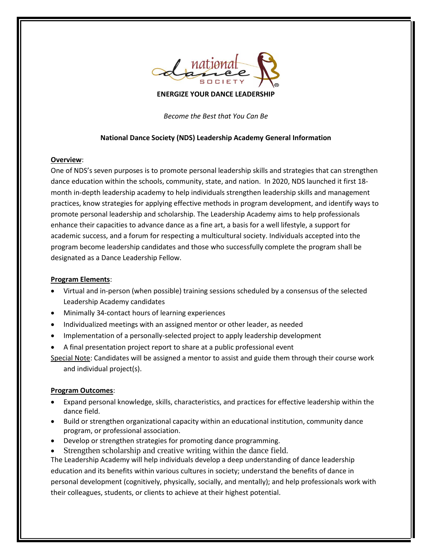

#### **ENERGIZE YOUR DANCE LEADERSHIP**

*Become the Best that You Can Be*

## **National Dance Society (NDS) Leadership Academy General Information**

### **Overview**:

One of NDS's seven purposes is to promote personal leadership skills and strategies that can strengthen dance education within the schools, community, state, and nation. In 2020, NDS launched it first 18 month in-depth leadership academy to help individuals strengthen leadership skills and management practices, know strategies for applying effective methods in program development, and identify ways to promote personal leadership and scholarship. The Leadership Academy aims to help professionals enhance their capacities to advance dance as a fine art, a basis for a well lifestyle, a support for academic success, and a forum for respecting a multicultural society. Individuals accepted into the program become leadership candidates and those who successfully complete the program shall be designated as a Dance Leadership Fellow.

### **Program Elements**:

- Virtual and in-person (when possible) training sessions scheduled by a consensus of the selected Leadership Academy candidates
- Minimally 34-contact hours of learning experiences
- Individualized meetings with an assigned mentor or other leader, as needed
- Implementation of a personally-selected project to apply leadership development
- A final presentation project report to share at a public professional event
- Special Note: Candidates will be assigned a mentor to assist and guide them through their course work and individual project(s).

### **Program Outcomes**:

- Expand personal knowledge, skills, characteristics, and practices for effective leadership within the dance field.
- Build or strengthen organizational capacity within an educational institution, community dance program, or professional association.
- Develop or strengthen strategies for promoting dance programming.
- Strengthen scholarship and creative writing within the dance field.

The Leadership Academy will help individuals develop a deep understanding of dance leadership education and its benefits within various cultures in society; understand the benefits of dance in personal development (cognitively, physically, socially, and mentally); and help professionals work with their colleagues, students, or clients to achieve at their highest potential.